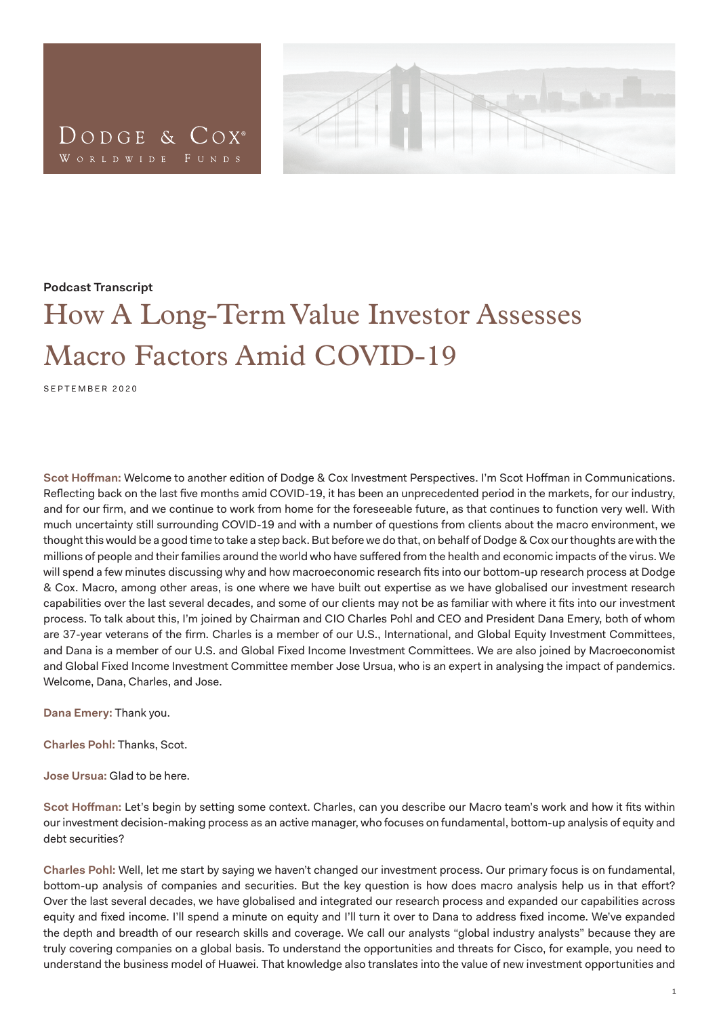



## **Podcast Transcript**

## How A Long-Term Value Investor Assesses Macro Factors Amid COVID-19

SEPTEMBER 2020

**Scot Hoffman:** Welcome to another edition of Dodge & Cox Investment Perspectives. I'm Scot Hoffman in Communications. Reflecting back on the last five months amid COVID-19, it has been an unprecedented period in the markets, for our industry, and for our firm, and we continue to work from home for the foreseeable future, as that continues to function very well. With much uncertainty still surrounding COVID-19 and with a number of questions from clients about the macro environment, we thought this would be a good time to take a step back. But before we do that, on behalf of Dodge & Cox our thoughts are with the millions of people and their families around the world who have suffered from the health and economic impacts of the virus. We will spend a few minutes discussing why and how macroeconomic research fits into our bottom-up research process at Dodge & Cox. Macro, among other areas, is one where we have built out expertise as we have globalised our investment research capabilities over the last several decades, and some of our clients may not be as familiar with where it fits into our investment process. To talk about this, I'm joined by Chairman and CIO Charles Pohl and CEO and President Dana Emery, both of whom are 37-year veterans of the firm. Charles is a member of our U.S., International, and Global Equity Investment Committees, and Dana is a member of our U.S. and Global Fixed Income Investment Committees. We are also joined by Macroeconomist and Global Fixed Income Investment Committee member Jose Ursua, who is an expert in analysing the impact of pandemics. Welcome, Dana, Charles, and Jose.

**Dana Emery:** Thank you.

**Charles Pohl:** Thanks, Scot.

**Jose Ursua:** Glad to be here.

**Scot Hoffman:** Let's begin by setting some context. Charles, can you describe our Macro team's work and how it fits within our investment decision-making process as an active manager, who focuses on fundamental, bottom-up analysis of equity and debt securities?

**Charles Pohl:** Well, let me start by saying we haven't changed our investment process. Our primary focus is on fundamental, bottom-up analysis of companies and securities. But the key question is how does macro analysis help us in that effort? Over the last several decades, we have globalised and integrated our research process and expanded our capabilities across equity and fixed income. I'll spend a minute on equity and I'll turn it over to Dana to address fixed income. We've expanded the depth and breadth of our research skills and coverage. We call our analysts "global industry analysts" because they are truly covering companies on a global basis. To understand the opportunities and threats for Cisco, for example, you need to understand the business model of Huawei. That knowledge also translates into the value of new investment opportunities and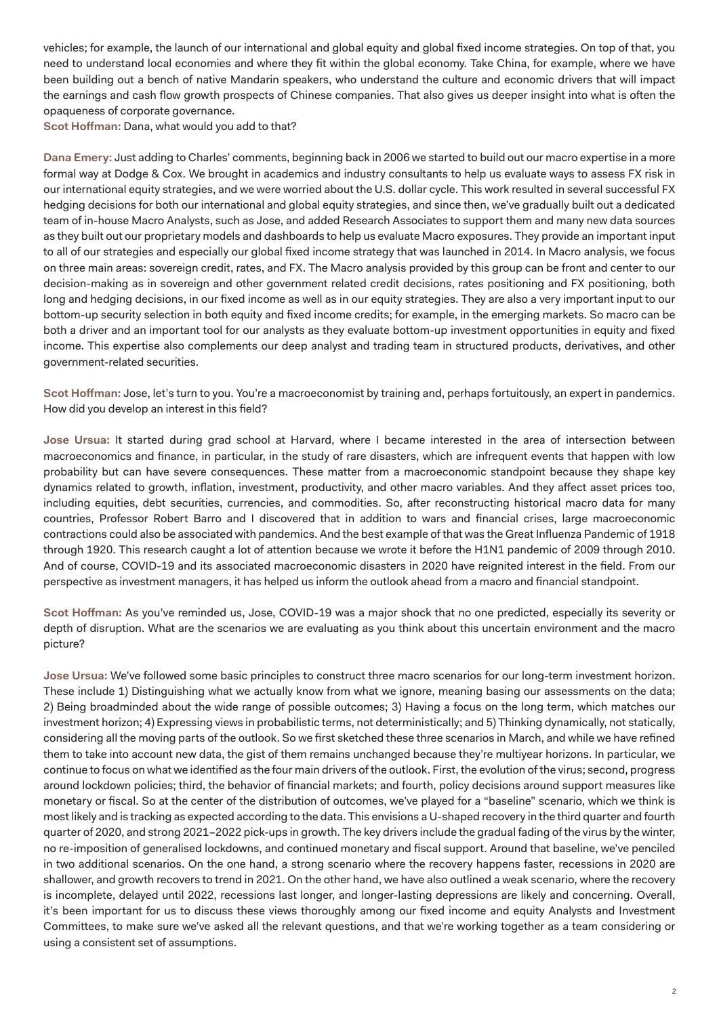vehicles; for example, the launch of our international and global equity and global fixed income strategies. On top of that, you need to understand local economies and where they fit within the global economy. Take China, for example, where we have been building out a bench of native Mandarin speakers, who understand the culture and economic drivers that will impact the earnings and cash flow growth prospects of Chinese companies. That also gives us deeper insight into what is often the opaqueness of corporate governance.

**Scot Hoffman:** Dana, what would you add to that?

**Dana Emery:** Just adding to Charles' comments, beginning back in 2006 we started to build out our macro expertise in a more formal way at Dodge & Cox. We brought in academics and industry consultants to help us evaluate ways to assess FX risk in our international equity strategies, and we were worried about the U.S. dollar cycle. This work resulted in several successful FX hedging decisions for both our international and global equity strategies, and since then, we've gradually built out a dedicated team of in-house Macro Analysts, such as Jose, and added Research Associates to support them and many new data sources as they built out our proprietary models and dashboards to help us evaluate Macro exposures. They provide an important input to all of our strategies and especially our global fixed income strategy that was launched in 2014. In Macro analysis, we focus on three main areas: sovereign credit, rates, and FX. The Macro analysis provided by this group can be front and center to our decision-making as in sovereign and other government related credit decisions, rates positioning and FX positioning, both long and hedging decisions, in our fixed income as well as in our equity strategies. They are also a very important input to our bottom-up security selection in both equity and fixed income credits; for example, in the emerging markets. So macro can be both a driver and an important tool for our analysts as they evaluate bottom-up investment opportunities in equity and fixed income. This expertise also complements our deep analyst and trading team in structured products, derivatives, and other government-related securities.

**Scot Hoffman:** Jose, let's turn to you. You're a macroeconomist by training and, perhaps fortuitously, an expert in pandemics. How did you develop an interest in this field?

**Jose Ursua:** It started during grad school at Harvard, where I became interested in the area of intersection between macroeconomics and finance, in particular, in the study of rare disasters, which are infrequent events that happen with low probability but can have severe consequences. These matter from a macroeconomic standpoint because they shape key dynamics related to growth, inflation, investment, productivity, and other macro variables. And they affect asset prices too, including equities, debt securities, currencies, and commodities. So, after reconstructing historical macro data for many countries, Professor Robert Barro and I discovered that in addition to wars and financial crises, large macroeconomic contractions could also be associated with pandemics. And the best example of that was the Great Influenza Pandemic of 1918 through 1920. This research caught a lot of attention because we wrote it before the H1N1 pandemic of 2009 through 2010. And of course, COVID-19 and its associated macroeconomic disasters in 2020 have reignited interest in the field. From our perspective as investment managers, it has helped us inform the outlook ahead from a macro and financial standpoint.

**Scot Hoffman:** As you've reminded us, Jose, COVID-19 was a major shock that no one predicted, especially its severity or depth of disruption. What are the scenarios we are evaluating as you think about this uncertain environment and the macro picture?

**Jose Ursua:** We've followed some basic principles to construct three macro scenarios for our long-term investment horizon. These include 1) Distinguishing what we actually know from what we ignore, meaning basing our assessments on the data; 2) Being broadminded about the wide range of possible outcomes; 3) Having a focus on the long term, which matches our investment horizon; 4) Expressing views in probabilistic terms, not deterministically; and 5) Thinking dynamically, not statically, considering all the moving parts of the outlook. So we first sketched these three scenarios in March, and while we have refined them to take into account new data, the gist of them remains unchanged because they're multiyear horizons. In particular, we continue to focus on what we identified as the four main drivers of the outlook. First, the evolution of the virus; second, progress around lockdown policies; third, the behavior of financial markets; and fourth, policy decisions around support measures like monetary or fiscal. So at the center of the distribution of outcomes, we've played for a "baseline" scenario, which we think is most likely and is tracking as expected according to the data. This envisions a U-shaped recovery in the third quarter and fourth quarter of 2020, and strong 2021–2022 pick-ups in growth. The key drivers include the gradual fading of the virus by the winter, no re-imposition of generalised lockdowns, and continued monetary and fiscal support. Around that baseline, we've penciled in two additional scenarios. On the one hand, a strong scenario where the recovery happens faster, recessions in 2020 are shallower, and growth recovers to trend in 2021. On the other hand, we have also outlined a weak scenario, where the recovery is incomplete, delayed until 2022, recessions last longer, and longer-lasting depressions are likely and concerning. Overall, it's been important for us to discuss these views thoroughly among our fixed income and equity Analysts and Investment Committees, to make sure we've asked all the relevant questions, and that we're working together as a team considering or using a consistent set of assumptions.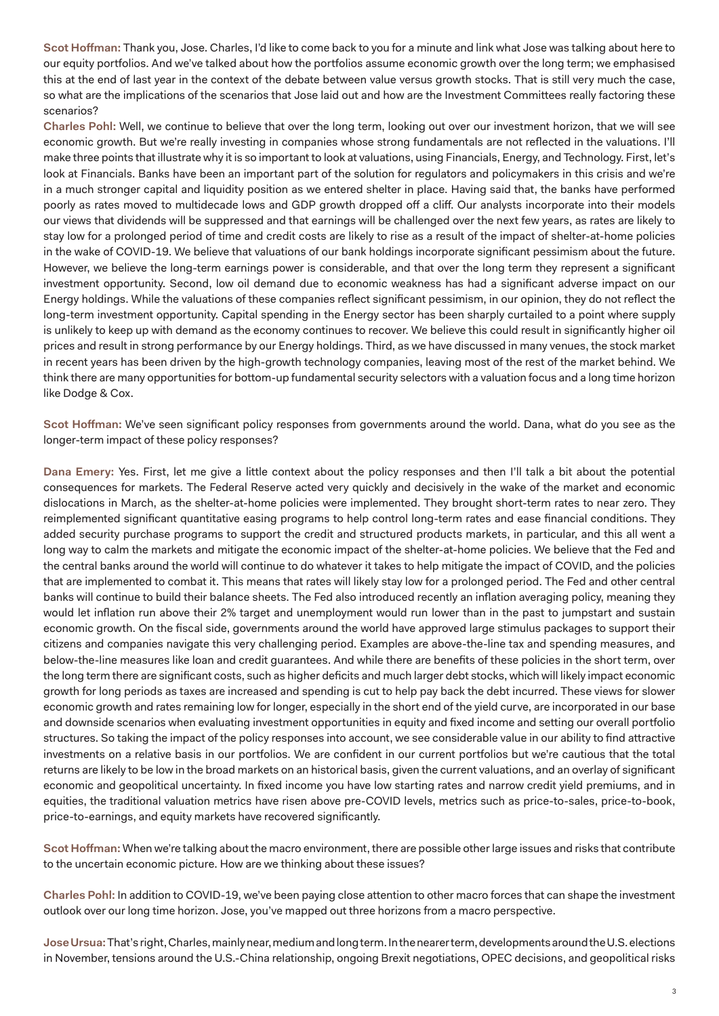**Scot Hoffman:** Thank you, Jose. Charles, I'd like to come back to you for a minute and link what Jose was talking about here to our equity portfolios. And we've talked about how the portfolios assume economic growth over the long term; we emphasised this at the end of last year in the context of the debate between value versus growth stocks. That is still very much the case, so what are the implications of the scenarios that Jose laid out and how are the Investment Committees really factoring these scenarios?

**Charles Pohl:** Well, we continue to believe that over the long term, looking out over our investment horizon, that we will see economic growth. But we're really investing in companies whose strong fundamentals are not reflected in the valuations. I'll make three points that illustrate why it is so important to look at valuations, using Financials, Energy, and Technology. First, let's look at Financials. Banks have been an important part of the solution for regulators and policymakers in this crisis and we're in a much stronger capital and liquidity position as we entered shelter in place. Having said that, the banks have performed poorly as rates moved to multidecade lows and GDP growth dropped off a cliff. Our analysts incorporate into their models our views that dividends will be suppressed and that earnings will be challenged over the next few years, as rates are likely to stay low for a prolonged period of time and credit costs are likely to rise as a result of the impact of shelter-at-home policies in the wake of COVID-19. We believe that valuations of our bank holdings incorporate significant pessimism about the future. However, we believe the long-term earnings power is considerable, and that over the long term they represent a significant investment opportunity. Second, low oil demand due to economic weakness has had a significant adverse impact on our Energy holdings. While the valuations of these companies reflect significant pessimism, in our opinion, they do not reflect the long-term investment opportunity. Capital spending in the Energy sector has been sharply curtailed to a point where supply is unlikely to keep up with demand as the economy continues to recover. We believe this could result in significantly higher oil prices and result in strong performance by our Energy holdings. Third, as we have discussed in many venues, the stock market in recent years has been driven by the high-growth technology companies, leaving most of the rest of the market behind. We think there are many opportunities for bottom-up fundamental security selectors with a valuation focus and a long time horizon like Dodge & Cox.

**Scot Hoffman:** We've seen significant policy responses from governments around the world. Dana, what do you see as the longer-term impact of these policy responses?

**Dana Emery:** Yes. First, let me give a little context about the policy responses and then I'll talk a bit about the potential consequences for markets. The Federal Reserve acted very quickly and decisively in the wake of the market and economic dislocations in March, as the shelter-at-home policies were implemented. They brought short-term rates to near zero. They reimplemented significant quantitative easing programs to help control long-term rates and ease financial conditions. They added security purchase programs to support the credit and structured products markets, in particular, and this all went a long way to calm the markets and mitigate the economic impact of the shelter-at-home policies. We believe that the Fed and the central banks around the world will continue to do whatever it takes to help mitigate the impact of COVID, and the policies that are implemented to combat it. This means that rates will likely stay low for a prolonged period. The Fed and other central banks will continue to build their balance sheets. The Fed also introduced recently an inflation averaging policy, meaning they would let inflation run above their 2% target and unemployment would run lower than in the past to jumpstart and sustain economic growth. On the fiscal side, governments around the world have approved large stimulus packages to support their citizens and companies navigate this very challenging period. Examples are above-the-line tax and spending measures, and below-the-line measures like loan and credit guarantees. And while there are benefits of these policies in the short term, over the long term there are significant costs, such as higher deficits and much larger debt stocks, which will likely impact economic growth for long periods as taxes are increased and spending is cut to help pay back the debt incurred. These views for slower economic growth and rates remaining low for longer, especially in the short end of the yield curve, are incorporated in our base and downside scenarios when evaluating investment opportunities in equity and fixed income and setting our overall portfolio structures. So taking the impact of the policy responses into account, we see considerable value in our ability to find attractive investments on a relative basis in our portfolios. We are confident in our current portfolios but we're cautious that the total returns are likely to be low in the broad markets on an historical basis, given the current valuations, and an overlay of significant economic and geopolitical uncertainty. In fixed income you have low starting rates and narrow credit yield premiums, and in equities, the traditional valuation metrics have risen above pre-COVID levels, metrics such as price-to-sales, price-to-book, price-to-earnings, and equity markets have recovered significantly.

**Scot Hoffman:** When we're talking about the macro environment, there are possible other large issues and risks that contribute to the uncertain economic picture. How are we thinking about these issues?

**Charles Pohl:** In addition to COVID-19, we've been paying close attention to other macro forces that can shape the investment outlook over our long time horizon. Jose, you've mapped out three horizons from a macro perspective.

**Jose Ursua:** That's right, Charles, mainly near, medium and long term. In the nearer term, developments around the U.S. elections in November, tensions around the U.S.-China relationship, ongoing Brexit negotiations, OPEC decisions, and geopolitical risks